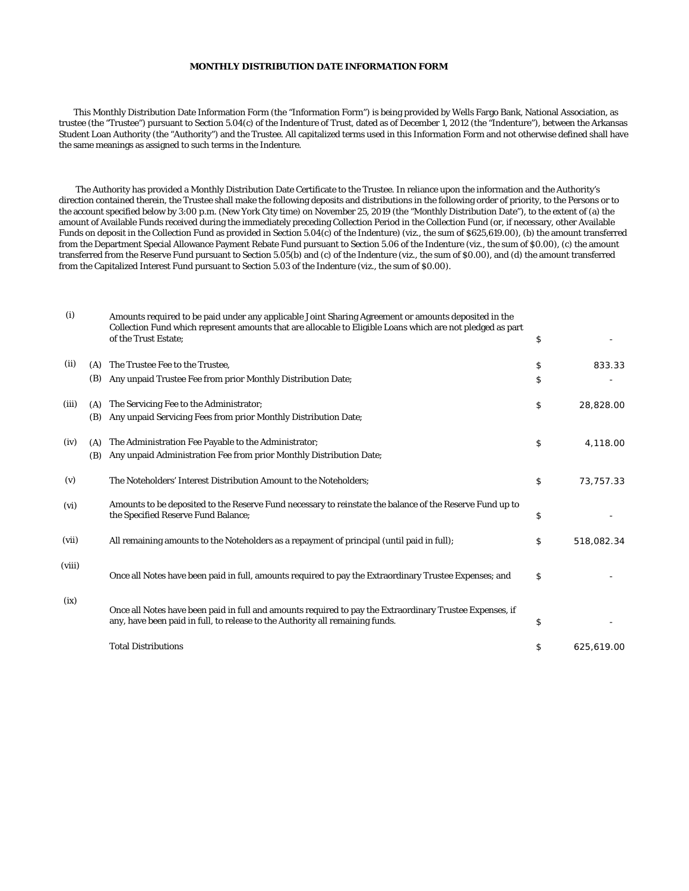## **MONTHLY DISTRIBUTION DATE INFORMATION FORM**

 This Monthly Distribution Date Information Form (the "Information Form") is being provided by Wells Fargo Bank, National Association, as trustee (the "Trustee") pursuant to Section 5.04(c) of the Indenture of Trust, dated as of December 1, 2012 (the "Indenture"), between the Arkansas Student Loan Authority (the "Authority") and the Trustee. All capitalized terms used in this Information Form and not otherwise defined shall have the same meanings as assigned to such terms in the Indenture.

 The Authority has provided a Monthly Distribution Date Certificate to the Trustee. In reliance upon the information and the Authority's direction contained therein, the Trustee shall make the following deposits and distributions in the following order of priority, to the Persons or to the account specified below by 3:00 p.m. (New York City time) on November 25, 2019 (the "Monthly Distribution Date"), to the extent of (a) the amount of Available Funds received during the immediately preceding Collection Period in the Collection Fund (or, if necessary, other Available Funds on deposit in the Collection Fund as provided in Section 5.04(c) of the Indenture) (viz., the sum of \$625,619.00), (b) the amount transferred from the Department Special Allowance Payment Rebate Fund pursuant to Section 5.06 of the Indenture (viz., the sum of \$0.00), (c) the amount transferred from the Reserve Fund pursuant to Section 5.05(b) and (c) of the Indenture (viz., the sum of \$0.00), and (d) the amount transferred from the Capitalized Interest Fund pursuant to Section 5.03 of the Indenture (viz., the sum of \$0.00).

| (i)    |     | Amounts required to be paid under any applicable Joint Sharing Agreement or amounts deposited in the<br>Collection Fund which represent amounts that are allocable to Eligible Loans which are not pledged as part<br>of the Trust Estate; | \$               |
|--------|-----|--------------------------------------------------------------------------------------------------------------------------------------------------------------------------------------------------------------------------------------------|------------------|
| (ii)   | (A) | The Trustee Fee to the Trustee.                                                                                                                                                                                                            | \$<br>833.33     |
|        | (B) | Any unpaid Trustee Fee from prior Monthly Distribution Date;                                                                                                                                                                               | \$               |
| (iii)  | (A) | The Servicing Fee to the Administrator;                                                                                                                                                                                                    | \$<br>28,828.00  |
|        | (B) | Any unpaid Servicing Fees from prior Monthly Distribution Date;                                                                                                                                                                            |                  |
| (iv)   | (A) | The Administration Fee Payable to the Administrator;                                                                                                                                                                                       | \$<br>4,118.00   |
|        | (B) | Any unpaid Administration Fee from prior Monthly Distribution Date;                                                                                                                                                                        |                  |
| (v)    |     | The Noteholders' Interest Distribution Amount to the Noteholders;                                                                                                                                                                          | \$<br>73,757.33  |
| (vi)   |     | Amounts to be deposited to the Reserve Fund necessary to reinstate the balance of the Reserve Fund up to<br>the Specified Reserve Fund Balance;                                                                                            | \$               |
| (vii)  |     | All remaining amounts to the Noteholders as a repayment of principal (until paid in full);                                                                                                                                                 | \$<br>518,082.34 |
| (viii) |     | Once all Notes have been paid in full, amounts required to pay the Extraordinary Trustee Expenses; and                                                                                                                                     | \$               |
| (ix)   |     | Once all Notes have been paid in full and amounts required to pay the Extraordinary Trustee Expenses, if<br>any, have been paid in full, to release to the Authority all remaining funds.                                                  | \$               |
|        |     | <b>Total Distributions</b>                                                                                                                                                                                                                 | \$<br>625,619.00 |